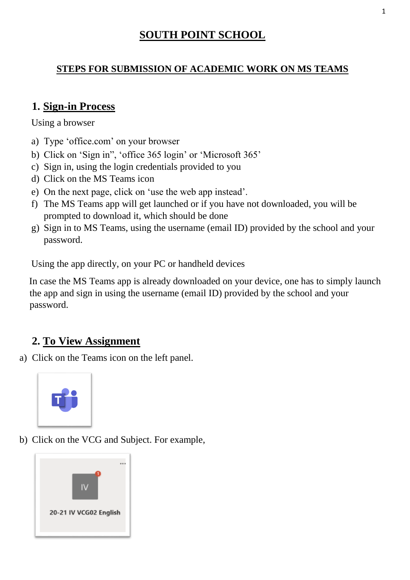## **SOUTH POINT SCHOOL**

#### **STEPS FOR SUBMISSION OF ACADEMIC WORK ON MS TEAMS**

#### **1. Sign-in Process**

Using a browser

- a) Type 'office.com' on your browser
- b) Click on 'Sign in", 'office 365 login' or 'Microsoft 365'
- c) Sign in, using the login credentials provided to you
- d) Click on the MS Teams icon
- e) On the next page, click on 'use the web app instead'.
- f) The MS Teams app will get launched or if you have not downloaded, you will be prompted to download it, which should be done
- g) Sign in to MS Teams, using the username (email ID) provided by the school and your password.

Using the app directly, on your PC or handheld devices

In case the MS Teams app is already downloaded on your device, one has to simply launch the app and sign in using the username (email ID) provided by the school and your password.

## **2. To View Assignment**

a) Click on the Teams icon on the left panel.



b) Click on the VCG and Subject. For example,

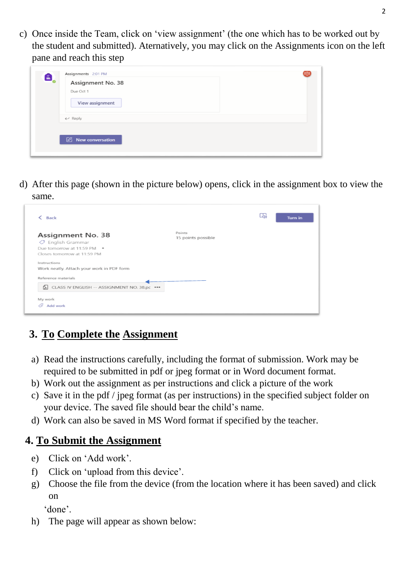c) Once inside the Team, click on 'view assignment' (the one which has to be worked out by the student and submitted). Aternatively, you may click on the Assignments icon on the left pane and reach this step



d) After this page (shown in the picture below) opens, click in the assignment box to view the same.

| <b>Back</b>                                                                                                             |                              | L5, | <b>Turn in</b> |
|-------------------------------------------------------------------------------------------------------------------------|------------------------------|-----|----------------|
| <b>Assignment No. 38</b><br>$\circledcirc$ English Grammar<br>Due tomorrow at 11:59 PM .<br>Closes tomorrow at 11:59 PM | Points<br>15 points possible |     |                |
| Instructions<br>Work neatly. Attach your work in PDF form                                                               |                              |     |                |
| Reference materials                                                                                                     |                              |     |                |
| CLASS IV ENGLISH -- ASSIGNMENT NO. 38.pc ***                                                                            |                              |     |                |
| My work                                                                                                                 |                              |     |                |
| P.<br>Add work                                                                                                          |                              |     |                |

# **3. To Complete the Assignment**

- a) Read the instructions carefully, including the format of submission. Work may be required to be submitted in pdf or jpeg format or in Word document format.
- b) Work out the assignment as per instructions and click a picture of the work
- c) Save it in the pdf / jpeg format (as per instructions) in the specified subject folder on your device. The saved file should bear the child's name.
- d) Work can also be saved in MS Word format if specified by the teacher.

## **4. To Submit the Assignment**

- e) Click on 'Add work'.
- f) Click on 'upload from this device'.
- g) Choose the file from the device (from the location where it has been saved) and click on

'done'.

h) The page will appear as shown below: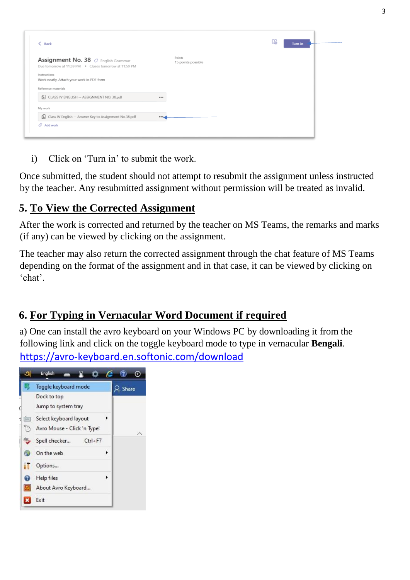| Points<br>Assignment No. 38 $\oslash$ English Grammar<br>15 points possible<br>Due tomorrow at 11:59 PM · Closes tomorrow at 11:59 PM<br>Instructions<br>Work neatly. Attach your work in PDF form<br>Reference materials<br>CLASS IV ENGLISH -- ASSIGNMENT NO. 38.pdf<br><br>My work<br>Class IV English -- Answer Key to Assignment No.38.pdf<br> | $\langle$ Back        | Lhi | <b>Turn in</b> |
|-----------------------------------------------------------------------------------------------------------------------------------------------------------------------------------------------------------------------------------------------------------------------------------------------------------------------------------------------------|-----------------------|-----|----------------|
|                                                                                                                                                                                                                                                                                                                                                     |                       |     |                |
|                                                                                                                                                                                                                                                                                                                                                     |                       |     |                |
|                                                                                                                                                                                                                                                                                                                                                     |                       |     |                |
|                                                                                                                                                                                                                                                                                                                                                     |                       |     |                |
|                                                                                                                                                                                                                                                                                                                                                     |                       |     |                |
|                                                                                                                                                                                                                                                                                                                                                     |                       |     |                |
|                                                                                                                                                                                                                                                                                                                                                     | $\mathscr Q$ Add work |     |                |

i) Click on 'Turn in' to submit the work.

Once submitted, the student should not attempt to resubmit the assignment unless instructed by the teacher. Any resubmitted assignment without permission will be treated as invalid.

## **5. To View the Corrected Assignment**

After the work is corrected and returned by the teacher on MS Teams, the remarks and marks (if any) can be viewed by clicking on the assignment.

The teacher may also return the corrected assignment through the chat feature of MS Teams depending on the format of the assignment and in that case, it can be viewed by clicking on 'chat'.

# **6. For Typing in Vernacular Word Document if required**

a) One can install the avro keyboard on your Windows PC by downloading it from the following link and click on the toggle keyboard mode to type in vernacular **Bengali**. <https://avro-keyboard.en.softonic.com/download>

|                  | English                                               |   |           |
|------------------|-------------------------------------------------------|---|-----------|
|                  | Toggle keyboard mode                                  |   | $2$ Share |
| d                | Dock to top<br>Jump to system tray                    |   |           |
| <b>WHEE</b><br>t | Select keyboard layout<br>Avro Mouse - Click 'n Type! | ٠ |           |
| abc.             | Spell checker<br>$Ctrl + F7$                          |   |           |
|                  | On the web                                            | ٠ |           |
|                  | Options                                               |   |           |
|                  | Help files<br>About Avro Keyboard                     | ١ |           |
|                  | Exit                                                  |   |           |